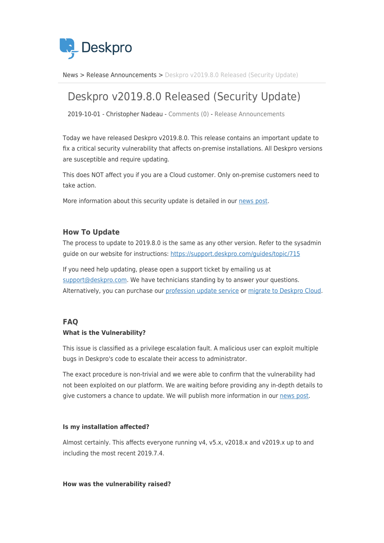

[News](https://support.deskpro.com/zh-CN/news) > [Release Announcements](https://support.deskpro.com/zh-CN/news/release-announcements) > [Deskpro v2019.8.0 Released \(Security Update\)](https://support.deskpro.com/zh-CN/news/posts/deskpro-v2019-8-0-released-security-update)

# Deskpro v2019.8.0 Released (Security Update)

2019-10-01 - Christopher Nadeau - [Comments \(0\)](#page--1-0) - [Release Announcements](https://support.deskpro.com/zh-CN/news/release-announcements)

Today we have released Deskpro v2019.8.0. This release contains an important update to fix a critical security vulnerability that affects on-premise installations. All Deskpro versions are susceptible and require updating.

This does NOT affect you if you are a Cloud customer. Only on-premise customers need to take action.

More information about this security update is detailed in our [news post.](https://support.deskpro.com/news/posts/775)

# **How To Update**

The process to update to 2019.8.0 is the same as any other version. Refer to the sysadmin guide on our website for instructions: <https://support.deskpro.com/guides/topic/715>

If you need help updating, please open a support ticket by emailing us at [support@deskpro.com.](mailto:support@deskpro.com) We have technicians standing by to answer your questions. Alternatively, you can purchase our [profession update service](https://support.deskpro.com/kb/articles/748) or [migrate to Deskpro Cloud.](https://support.deskpro.com/en/kb/articles/moving-from-on-premise-to-cloud)

# **FAQ**

# **What is the Vulnerability?**

This issue is classified as a privilege escalation fault. A malicious user can exploit multiple bugs in Deskpro's code to escalate their access to administrator.

The exact procedure is non-trivial and we were able to confirm that the vulnerability had not been exploited on our platform. We are waiting before providing any in-depth details to give customers a chance to update. We will publish more information in our [news post.](https://deskpro.us14.list-manage.com/track/click?u=e74a22aa52adf3d1baf40462e&id=eb1b058a1a&e=f2aaaca2a9)

# **Is my installation affected?**

Almost certainly. This affects everyone running v4, v5.x, v2018.x and v2019.x up to and including the most recent 2019.7.4.

# **How was the vulnerability raised?**